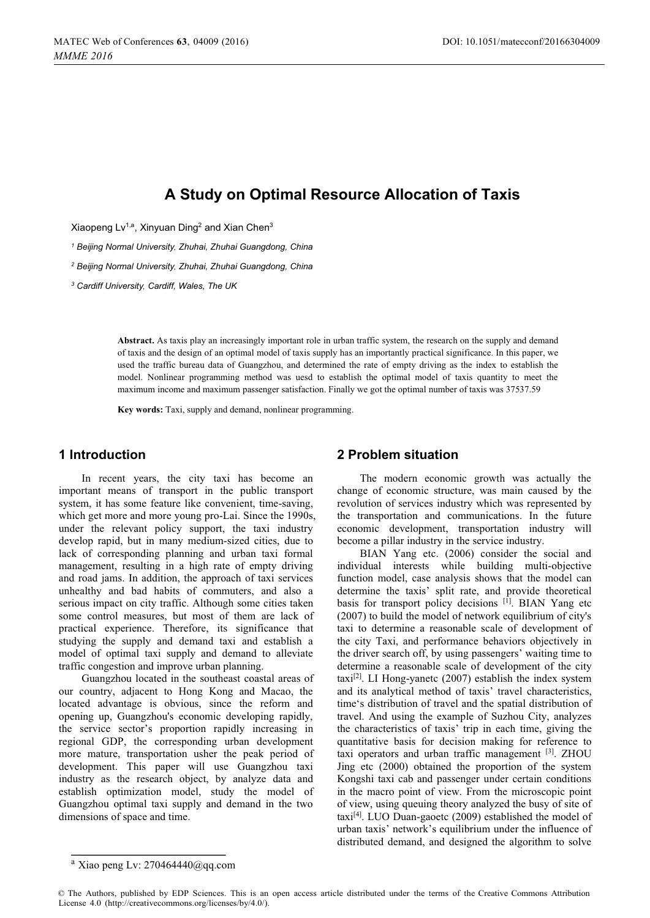# **A Study on Optimal Resource Allocation of Taxis**

Xiaopeng Lv<sup>1,a</sup>, Xinyuan Ding<sup>2</sup> and Xian Chen<sup>3</sup>

*<sup>1</sup> Beijing Normal University, Zhuhai, Zhuhai Guangdong, China*

*<sup>2</sup> Beijing Normal University, Zhuhai, Zhuhai Guangdong, China*

*<sup>3</sup> Cardiff University, Cardiff, Wales, The UK*

**Abstract.** As taxis play an increasingly important role in urban traffic system, the research on the supply and demand of taxis and the design of an optimal model of taxis supply has an importantly practical significance. In this paper, we used the traffic bureau data of Guangzhou, and determined the rate of empty driving as the index to establish the model. Nonlinear programming method was uesd to establish the optimal model of taxis quantity to meet the maximum income and maximum passenger satisfaction. Finally we got the optimal number of taxis was 37537.59

**Key words:** Taxi, supply and demand, nonlinear programming.

#### **1 Introduction**

In recent years, the city taxi has become an important means of transport in the public transport system, it has some feature like convenient, time-saving, which get more and more young pro-Lai. Since the 1990s, under the relevant policy support, the taxi industry develop rapid, but in many medium-sized cities, due to lack of corresponding planning and urban taxi formal management, resulting in a high rate of empty driving and road jams. In addition, the approach of taxi services unhealthy and bad habits of commuters, and also a serious impact on city traffic. Although some cities taken some control measures, but most of them are lack of practical experience. Therefore, its significance that studying the supply and demand taxi and establish a model of optimal taxi supply and demand to alleviate traffic congestion and improve urban planning.

Guangzhou located in the southeast coastal areas of our country, adjacent to Hong Kong and Macao, the located advantage is obvious, since the reform and opening up, Guangzhou's economic developing rapidly, the service sector's proportion rapidly increasing in regional GDP, the corresponding urban development more mature, transportation usher the peak period of development. This paper will use Guangzhou taxi industry as the research object, by analyze data and establish optimization model, study the model of Guangzhou optimal taxi supply and demand in the two dimensions of space and time.

#### **2 Problem situation**

The modern economic growth was actually the change of economic structure, was main caused by the revolution of services industry which was represented by the transportation and communications. In the future economic development, transportation industry will become a pillar industry in the service industry.

BIAN Yang etc. (2006) consider the social and individual interests while building multi-objective function model, case analysis shows that the model can determine the taxis' split rate, and provide theoretical basis for transport policy decisions [1]. BIAN Yang etc (2007) to build the model of network equilibrium of city's taxi to determine a reasonable scale of development of the city Taxi, and performance behaviors objectively in the driver search off, by using passengers' waiting time to determine a reasonable scale of development of the city taxi<sup>[2]</sup>. LI Hong-yanetc  $(2007)$  establish the index system and its analytical method of taxis' travel characteristics, time's distribution of travel and the spatial distribution of travel. And using the example of Suzhou City, analyzes the characteristics of taxis' trip in each time, giving the quantitative basis for decision making for reference to taxi operators and urban traffic management [3]. ZHOU Jing etc (2000) obtained the proportion of the system Kongshi taxi cab and passenger under certain conditions in the macro point of view. From the microscopic point of view, using queuing theory analyzed the busy of site of taxi[4]. LUO Duan-gaoetc (2009) established the model of urban taxis' network's equilibrium under the influence of distributed demand, and designed the algorithm to solve

 $a$  Xiao peng Lv: [270464440@qq.com](mailto:270464440@qq.com)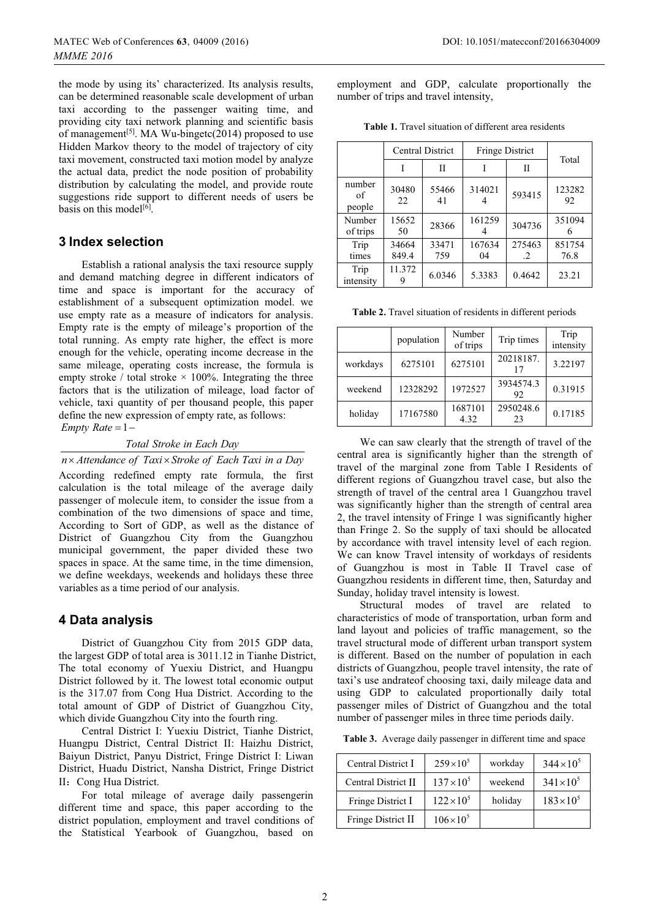the mode by using its' characterized. Its analysis results, can be determined reasonable scale development of urban taxi according to the passenger waiting time, and providing city taxi network planning and scientific basis of management<sup>[5]</sup>. MA Wu-bingetc(2014) proposed to use Hidden Markov theory to the model of trajectory of city taxi movement, constructed taxi motion model by analyze the actual data, predict the node position of probability distribution by calculating the model, and provide route suggestions ride support to different needs of users be basis on this model $^{[6]}$ .

### **3 Index selection**

Establish a rational analysis the taxi resource supply and demand matching degree in different indicators of time and space is important for the accuracy of establishment of a subsequent optimization model. we use empty rate as a measure of indicators for analysis. Empty rate is the empty of mileage's proportion of the total running. As empty rate higher, the effect is more enough for the vehicle, operating income decrease in the same mileage, operating costs increase, the formula is empty stroke / total stroke  $\times$  100%. Integrating the three factors that is the utilization of mileage, load factor of vehicle, taxi quantity of per thousand people, this paper define the new expression of empty rate, as follows:  $Empty Rate = 1$ 

*Total Stroke in Each Day*

*n Attendance of Taxi Stroke of Each Taxi in a Day*

According redefined empty rate formula, the first calculation is the total mileage of the average daily passenger of molecule item, to consider the issue from a combination of the two dimensions of space and time, According to Sort of GDP, as well as the distance of District of Guangzhou City from the Guangzhou municipal government, the paper divided these two spaces in space. At the same time, in the time dimension, we define weekdays, weekends and holidays these three variables as a time period of our analysis.

# **4 Data analysis**

District of Guangzhou City from 2015 GDP data, the largest GDP of total area is 3011.12 in Tianhe District, The total economy of Yuexiu District, and Huangpu District followed by it. The lowest total economic output is the 317.07 from Cong Hua District. According to the total amount of GDP of District of Guangzhou City, which divide Guangzhou City into the fourth ring.

Central District I: Yuexiu District, Tianhe District, Huangpu District, Central District II: Haizhu District, Baiyun District, Panyu District, Fringe District I: Liwan District, Huadu District, Nansha District, Fringe District II: Cong Hua District.

For total mileage of average daily passengerin different time and space, this paper according to the district population, employment and travel conditions of the Statistical Yearbook of Guangzhou, based on

employment and GDP, calculate proportionally the number of trips and travel intensity,

**Table 1.** Travel situation of different area residents

|                        | <b>Central District</b> |              | <b>Fringe District</b> |                     | Total          |
|------------------------|-------------------------|--------------|------------------------|---------------------|----------------|
|                        |                         | Н            | T                      | П                   |                |
| number<br>of<br>people | 30480<br>22             | 55466<br>41  | 314021                 | 593415              | 123282<br>92   |
| Number<br>of trips     | 15652<br>50             | 28366        | 161259                 | 304736              | 351094<br>h    |
| Trip<br>times          | 34664<br>849.4          | 33471<br>759 | 167634<br>04           | 275463<br>$\cdot$ 2 | 851754<br>76.8 |
| Trip<br>intensity      | 11.372                  | 6.0346       | 5.3383                 | 0.4642              | 23.21          |

**Table 2.** Travel situation of residents in different periods

|          | population | Number<br>of trips | Trip times      | Trip<br>intensity |
|----------|------------|--------------------|-----------------|-------------------|
| workdays | 6275101    | 6275101            | 20218187.<br>17 | 3.22197           |
| weekend  | 12328292   | 1972527            | 3934574.3<br>92 | 0.31915           |
| holiday  | 17167580   | 1687101<br>4.32    | 2950248.6<br>23 | 0.17185           |

We can saw clearly that the strength of travel of the central area is significantly higher than the strength of travel of the marginal zone from Table I Residents of different regions of Guangzhou travel case, but also the strength of travel of the central area 1 Guangzhou travel was significantly higher than the strength of central area 2, the travel intensity of Fringe 1 was significantly higher than Fringe 2. So the supply of taxi should be allocated by accordance with travel intensity level of each region. We can know Travel intensity of workdays of residents of Guangzhou is most in Table II Travel case of Guangzhou residents in different time, then, Saturday and Sunday, holiday travel intensity is lowest.

Structural modes of travel are related to characteristics of mode of transportation, urban form and land layout and policies of traffic management, so the travel structural mode of different urban transport system is different. Based on the number of population in each districts of Guangzhou, people travel intensity, the rate of taxi's use andrateof choosing taxi, daily mileage data and using GDP to calculated proportionally daily total passenger miles of District of Guangzhou and the total number of passenger miles in three time periods daily.

**Table 3.** Average daily passenger in different time and space

| Central District I  | $259 \times 10^{5}$ | workday | $344 \times 10^{5}$ |
|---------------------|---------------------|---------|---------------------|
| Central District II | $137 \times 10^{5}$ | weekend | $341 \times 10^{5}$ |
| Fringe District I   | $122\times10^{5}$   | holiday | $183 \times 10^{5}$ |
| Fringe District II  | $106 \times 10^{5}$ |         |                     |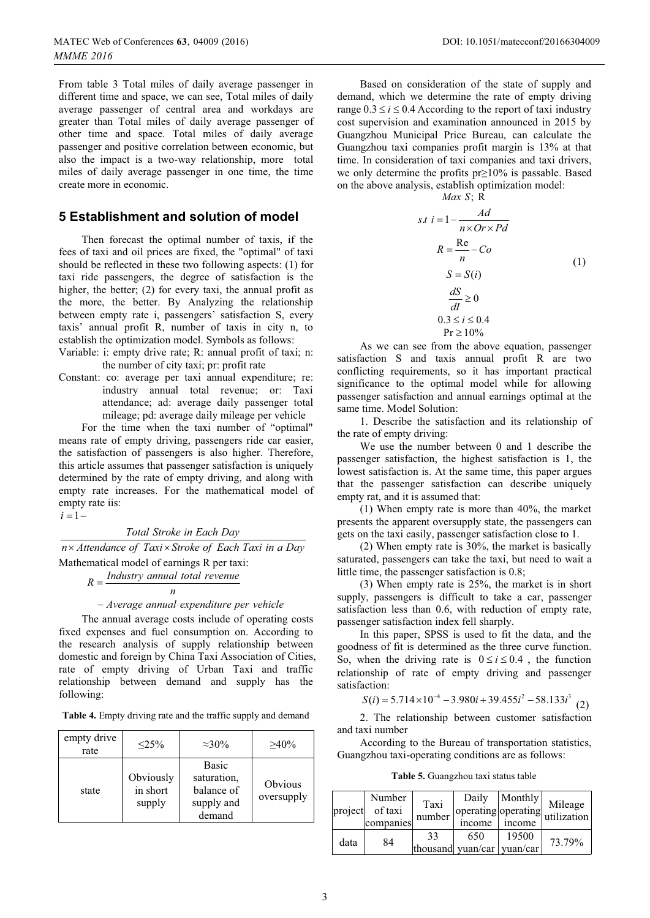From table 3 Total miles of daily average passenger in different time and space, we can see, Total miles of daily average passenger of central area and workdays are greater than Total miles of daily average passenger of other time and space. Total miles of daily average passenger and positive correlation between economic, but also the impact is a two-way relationship, more total miles of daily average passenger in one time, the time create more in economic.

## **5 Establishment and solution of model**

Then forecast the optimal number of taxis, if the fees of taxi and oil prices are fixed, the "optimal" of taxi should be reflected in these two following aspects: (1) for taxi ride passengers, the degree of satisfaction is the higher, the better; (2) for every taxi, the annual profit as the more, the better. By Analyzing the relationship between empty rate i, passengers' satisfaction S, every taxis' annual profit R, number of taxis in city n, to establish the optimization model. Symbols as follows:

Variable: i: empty drive rate; R: annual profit of taxi; n: the number of city taxi; pr: profit rate

Constant: co: average per taxi annual expenditure; re: industry annual total revenue; or: Taxi attendance; ad: average daily passenger total mileage; pd: average daily mileage per vehicle

For the time when the taxi number of "optimal" means rate of empty driving, passengers ride car easier, the satisfaction of passengers is also higher. Therefore, this article assumes that passenger satisfaction is uniquely determined by the rate of empty driving, and along with empty rate increases. For the mathematical model of empty rate iis:

 $i=1$ 

*Total Stroke in Each Day*

 *n Attendance of Taxi Stroke of Each Taxi in a Day* Mathematical model of earnings R per taxi:

*Industry annual total revenue <sup>R</sup> <sup>n</sup>* -

# *Average annual expenditure per vehicle*

The annual average costs include of operating costs fixed expenses and fuel consumption on. According to the research analysis of supply relationship between domestic and foreign by China Taxi Association of Cities, rate of empty driving of Urban Taxi and traffic relationship between demand and supply has the following:

**Table 4.** Empty driving rate and the traffic supply and demand

| empty drive<br>rate | $\leq$ 25%                      | $\approx 30\%$                                                    | $>40\%$               |
|---------------------|---------------------------------|-------------------------------------------------------------------|-----------------------|
| state               | Obviously<br>in short<br>supply | <b>Basic</b><br>saturation,<br>balance of<br>supply and<br>demand | Obvious<br>oversupply |

Based on consideration of the state of supply and demand, which we determine the rate of empty driving range  $0.3 \le i \le 0.4$  According to the report of taxi industry cost supervision and examination announced in 2015 by Guangzhou Municipal Price Bureau, can calculate the Guangzhou taxi companies profit margin is 13% at that time. In consideration of taxi companies and taxi drivers, we only determine the profits pr≥10% is passable. Based on the above analysis, establish optimization model:

*Max S*:  $\overrightarrow{R}$ 

$$
s.t i = 1 - \frac{Ad}{n \times Or \times Pd}
$$
  
\n
$$
R = \frac{Re}{n} - Co
$$
  
\n
$$
S = S(i)
$$
  
\n
$$
\frac{dS}{dl} \ge 0
$$
  
\n
$$
0.3 \le i \le 0.4
$$
  
\n
$$
Pr \ge 10\%
$$
 (1)

As we can see from the above equation, passenger satisfaction S and taxis annual profit R are two conflicting requirements, so it has important practical significance to the optimal model while for allowing passenger satisfaction and annual earnings optimal at the same time. Model Solution:

1. Describe the satisfaction and its relationship of the rate of empty driving:

We use the number between 0 and 1 describe the passenger satisfaction, the highest satisfaction is 1, the lowest satisfaction is. At the same time, this paper argues that the passenger satisfaction can describe uniquely empty rat, and it is assumed that:

(1) When empty rate is more than 40%, the market presents the apparent oversupply state, the passengers can gets on the taxi easily, passenger satisfaction close to 1.

(2) When empty rate is 30%, the market is basically saturated, passengers can take the taxi, but need to wait a little time, the passenger satisfaction is 0.8;

(3) When empty rate is 25%, the market is in short supply, passengers is difficult to take a car, passenger satisfaction less than 0.6, with reduction of empty rate, passenger satisfaction index fell sharply.

In this paper, SPSS is used to fit the data, and the goodness of fit is determined as the three curve function. So, when the driving rate is  $0 \le i \le 0.4$ , the function relationship of rate of empty driving and passenger satisfaction:

 $S(i) = 5.714 \times 10^{-4} - 3.980i + 39.455i^2 - 58.133i^3$  (2)

2. The relationship between customer satisfaction and taxi number

According to the Bureau of transportation statistics, Guangzhou taxi-operating conditions are as follows:

**Table 5.** Guangzhou taxi status table

| project | Number<br>of taxi<br>companies | Taxi<br>number | Daily<br>operating operating<br>income | Monthly<br>income | Mileage<br>utilization |
|---------|--------------------------------|----------------|----------------------------------------|-------------------|------------------------|
| data    | 84                             | 33             | 650<br>thousand yuan/car vuan/car      | 19500             | 73.79%                 |